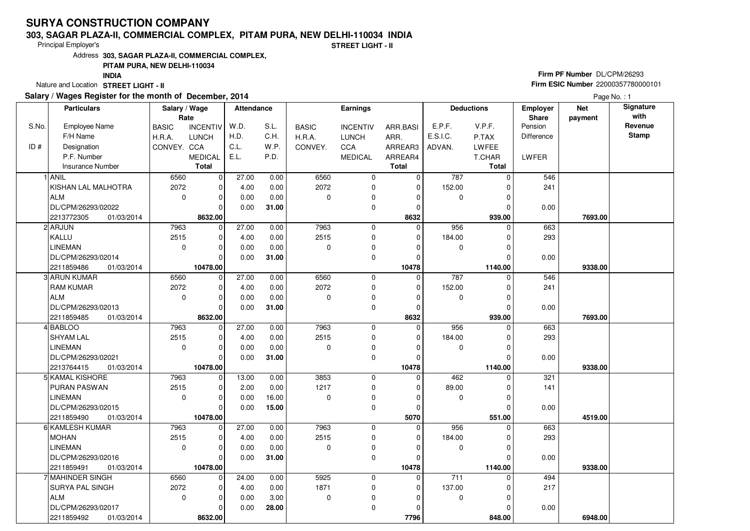# **SURYA CONSTRUCTION COMPANY**

#### **303, SAGAR PLAZA-II, COMMERCIAL COMPLEX, PITAM PURA, NEW DELHI-110034 INDIA**

Principal Employer's

**STREET LIGHT - II**

Address**303, SAGAR PLAZA-II, COMMERCIAL COMPLEX,**

## **PITAM PURA, NEW DELHI-110034**

**INDIA**

Nature and Location **STREET LIGHT - II** 

## **Salary / Wages Register for the month of December, 2014**

# **Firm PF Number** DL/CPM/26293 **Firm ESIC Number** <sup>22000357780000101</sup>

Page No. : 1

| <b>Particulars</b> |                                              | Salary / Wage<br>Rate |                         | Attendance    |               | <b>Earnings</b> |                  |              | <b>Deductions</b> |                     | Employer<br>Share | <b>Net</b><br>payment | Signature<br>with |
|--------------------|----------------------------------------------|-----------------------|-------------------------|---------------|---------------|-----------------|------------------|--------------|-------------------|---------------------|-------------------|-----------------------|-------------------|
| S.No.              | <b>Employee Name</b>                         | <b>BASIC</b>          | <b>INCENTIV</b>         | W.D.          | S.L.          | <b>BASIC</b>    | <b>INCENTIV</b>  | ARR.BASI     | E.P.F.            | V.P.F.              | Pension           |                       | Revenue           |
|                    | F/H Name                                     | H.R.A.                | <b>LUNCH</b>            | H.D.          | C.H.          | H.R.A.          | <b>LUNCH</b>     | ARR.         | E.S.I.C.          | P.TAX               | Difference        |                       | <b>Stamp</b>      |
| ID#                | Designation                                  | CONVEY. CCA           |                         | C.L.          | W.P.          | CONVEY.         | <b>CCA</b>       | ARREAR3      | ADVAN.            | LWFEE               |                   |                       |                   |
|                    | P.F. Number                                  |                       | <b>MEDICAL</b>          | E.L.          | P.D.          |                 | <b>MEDICAL</b>   | ARREAR4      |                   | T.CHAR              | <b>LWFER</b>      |                       |                   |
|                    | <b>Insurance Number</b>                      |                       | Total                   |               |               |                 |                  | <b>Total</b> |                   | <b>Total</b>        |                   |                       |                   |
|                    | 1 ANIL                                       | 6560                  | $\mathbf 0$             | 27.00         | 0.00          | 6560            | $\mathbf 0$      | 0            | 787               | $\Omega$            | 546               |                       |                   |
|                    | KISHAN LAL MALHOTRA                          | 2072                  | $\mathbf 0$             | 4.00          | 0.00          | 2072            | $\mathbf 0$      | 0            | 152.00            |                     | 241               |                       |                   |
|                    | ALM                                          | $\mathbf 0$           | $\mathbf 0$             | 0.00          | 0.00          | $\Omega$        | 0                | $\Omega$     | $\mathbf 0$       | $\Omega$            |                   |                       |                   |
|                    | DL/CPM/26293/02022                           |                       | $\Omega$                | 0.00          | 31.00         |                 | $\mathbf 0$      | 0            |                   | 0                   | 0.00              |                       |                   |
|                    | 2213772305<br>01/03/2014                     |                       | 8632.00                 |               |               |                 |                  | 8632         |                   | 939.00              |                   | 7693.00               |                   |
|                    | 2 ARJUN                                      | 7963                  | 0                       | 27.00         | 0.00          | 7963            | $\mathbf 0$      | $\Omega$     | 956               | $\Omega$            | 663               |                       |                   |
|                    | KALLU                                        | 2515                  | $\mathbf 0$             | 4.00          | 0.00          | 2515            | $\mathbf 0$      | $\mathbf 0$  | 184.00            | $\Omega$            | 293               |                       |                   |
|                    | LINEMAN                                      | $\mathbf 0$           | $\Omega$                | 0.00          | 0.00          | $\Omega$        | 0                | 0            | 0                 |                     |                   |                       |                   |
|                    | DL/CPM/26293/02014                           |                       | $\Omega$                | 0.00          | 31.00         |                 | 0                | 0            |                   | $\Omega$            | 0.00              |                       |                   |
|                    | 2211859486<br>01/03/2014                     |                       | 10478.00                |               |               |                 |                  | 10478        |                   | 1140.00             |                   | 9338.00               |                   |
|                    | 3 ARUN KUMAR                                 | 6560                  | $\mathbf 0$             | 27.00         | 0.00          | 6560            | $\mathbf 0$      | $\Omega$     | 787               | $\Omega$            | 546               |                       |                   |
|                    | <b>RAM KUMAR</b>                             | 2072                  | $\mathbf 0$             | 4.00          | 0.00          | 2072            | 0                | 0            | 152.00            | 0                   | 241               |                       |                   |
|                    | ALM                                          | $\mathbf 0$           | $\mathbf 0$             | 0.00          | 0.00          | $\Omega$        | 0                | $\Omega$     | 0                 | $\Omega$            |                   |                       |                   |
|                    | DL/CPM/26293/02013                           |                       | $\Omega$                | 0.00          | 31.00         |                 | $\mathbf 0$      | 0            |                   |                     | 0.00              |                       |                   |
|                    | 2211859485<br>01/03/2014                     |                       | 8632.00                 |               |               |                 |                  | 8632         |                   | 939.00              |                   | 7693.00               |                   |
|                    | 4 BABLOO                                     | 7963                  | 0                       | 27.00         | 0.00          | 7963            | 0                | 0            | 956               | $\Omega$            | 663               |                       |                   |
|                    | <b>SHYAM LAL</b>                             | 2515                  | $\mathbf 0$             | 4.00          | 0.00          | 2515            | $\mathbf 0$      | $\mathbf 0$  | 184.00            |                     | 293               |                       |                   |
|                    | <b>LINEMAN</b>                               | $\mathbf 0$           | $\Omega$                | 0.00          | 0.00          | $\Omega$        | 0                | $\Omega$     | 0                 |                     |                   |                       |                   |
|                    | DL/CPM/26293/02021                           |                       | $\Omega$                | 0.00          | 31.00         |                 | 0                | 0            |                   |                     | 0.00              |                       |                   |
|                    | 2213764415<br>01/03/2014                     |                       | 10478.00                |               |               |                 |                  | 10478        |                   | 1140.00             |                   | 9338.00               |                   |
|                    | 5 KAMAL KISHORE                              | 7963                  | 0                       | 13.00         | 0.00          | 3853            | $\mathbf 0$      | 0            | 462               | 0                   | 321               |                       |                   |
|                    | <b>PURAN PASWAN</b>                          | 2515                  | $\mathbf 0$             | 2.00          | 0.00          | 1217            | 0                | $\Omega$     | 89.00             | O                   | 141               |                       |                   |
|                    | <b>LINEMAN</b>                               | $\mathbf 0$           | $\mathbf 0$             | 0.00          | 16.00         | $\Omega$        | 0                | $\Omega$     | 0                 | $\Omega$            |                   |                       |                   |
|                    | DL/CPM/26293/02015                           |                       | $\Omega$                | 0.00          | 15.00         |                 | $\mathbf 0$      | $\Omega$     |                   |                     | 0.00              |                       |                   |
|                    | 2211859490<br>01/03/2014                     |                       | 10478.00                |               |               |                 |                  | 5070         |                   | 551.00              |                   | 4519.00               |                   |
|                    | 6 KAMLESH KUMAR                              | 7963                  | $\mathbf 0$             | 27.00         | 0.00          | 7963            | 0                | $\mathbf 0$  | 956               | 0                   | 663               |                       |                   |
|                    | <b>MOHAN</b>                                 | 2515                  | $\mathbf 0$<br>$\Omega$ | 4.00          | 0.00          | 2515            | 0                | $\Omega$     | 184.00            |                     | 293               |                       |                   |
|                    | <b>LINEMAN</b><br>DL/CPM/26293/02016         | $\Omega$              | $\Omega$                | 0.00          | 0.00          | $\Omega$        | 0<br>$\mathbf 0$ | $\Omega$     | 0                 | U                   |                   |                       |                   |
|                    |                                              |                       |                         | 0.00          | 31.00         |                 |                  | $\mathbf 0$  |                   |                     | 0.00              |                       |                   |
|                    | 2211859491<br>01/03/2014<br>7 MAHINDER SINGH |                       | 10478.00                |               |               | 5925            | $\mathbf 0$      | 10478<br>0   | $\overline{711}$  | 1140.00<br>$\Omega$ |                   | 9338.00               |                   |
|                    | <b>SURYA PAL SINGH</b>                       | 6560<br>2072          | $\mathbf 0$<br>$\Omega$ | 24.00<br>4.00 | 0.00<br>0.00  | 1871            |                  | $\Omega$     | 137.00            |                     | 494<br>217        |                       |                   |
|                    | ALM                                          | $\Omega$              | $\Omega$                |               |               | $\mathbf 0$     | 0                | $\Omega$     |                   |                     |                   |                       |                   |
|                    | DL/CPM/26293/02017                           |                       | $\Omega$                | 0.00<br>0.00  | 3.00<br>28.00 |                 | 0<br>$\mathbf 0$ | $\Omega$     | 0                 |                     |                   |                       |                   |
|                    | 2211859492<br>01/03/2014                     |                       | 8632.00                 |               |               |                 |                  | 7796         |                   | 848.00              | 0.00              | 6948.00               |                   |
|                    |                                              |                       |                         |               |               |                 |                  |              |                   |                     |                   |                       |                   |